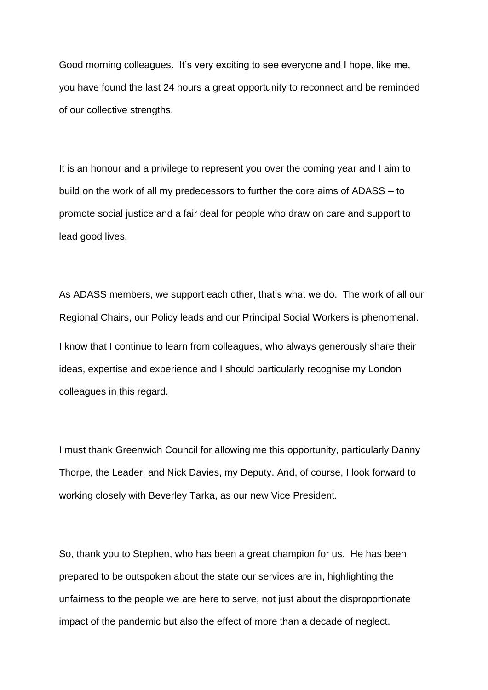Good morning colleagues. It's very exciting to see everyone and I hope, like me, you have found the last 24 hours a great opportunity to reconnect and be reminded of our collective strengths.

It is an honour and a privilege to represent you over the coming year and I aim to build on the work of all my predecessors to further the core aims of ADASS – to promote social justice and a fair deal for people who draw on care and support to lead good lives.

As ADASS members, we support each other, that's what we do. The work of all our Regional Chairs, our Policy leads and our Principal Social Workers is phenomenal. I know that I continue to learn from colleagues, who always generously share their ideas, expertise and experience and I should particularly recognise my London colleagues in this regard.

I must thank Greenwich Council for allowing me this opportunity, particularly Danny Thorpe, the Leader, and Nick Davies, my Deputy. And, of course, I look forward to working closely with Beverley Tarka, as our new Vice President.

So, thank you to Stephen, who has been a great champion for us. He has been prepared to be outspoken about the state our services are in, highlighting the unfairness to the people we are here to serve, not just about the disproportionate impact of the pandemic but also the effect of more than a decade of neglect.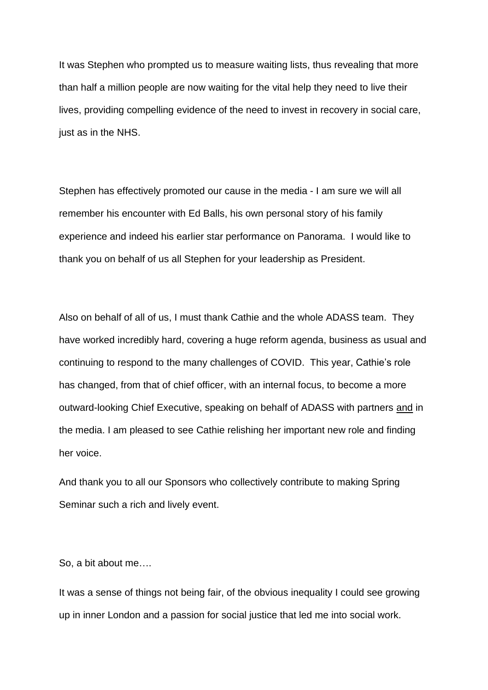It was Stephen who prompted us to measure waiting lists, thus revealing that more than half a million people are now waiting for the vital help they need to live their lives, providing compelling evidence of the need to invest in recovery in social care, just as in the NHS.

Stephen has effectively promoted our cause in the media - I am sure we will all remember his encounter with Ed Balls, his own personal story of his family experience and indeed his earlier star performance on Panorama. I would like to thank you on behalf of us all Stephen for your leadership as President.

Also on behalf of all of us, I must thank Cathie and the whole ADASS team. They have worked incredibly hard, covering a huge reform agenda, business as usual and continuing to respond to the many challenges of COVID. This year, Cathie's role has changed, from that of chief officer, with an internal focus, to become a more outward-looking Chief Executive, speaking on behalf of ADASS with partners and in the media. I am pleased to see Cathie relishing her important new role and finding her voice.

And thank you to all our Sponsors who collectively contribute to making Spring Seminar such a rich and lively event.

So, a bit about me….

It was a sense of things not being fair, of the obvious inequality I could see growing up in inner London and a passion for social justice that led me into social work.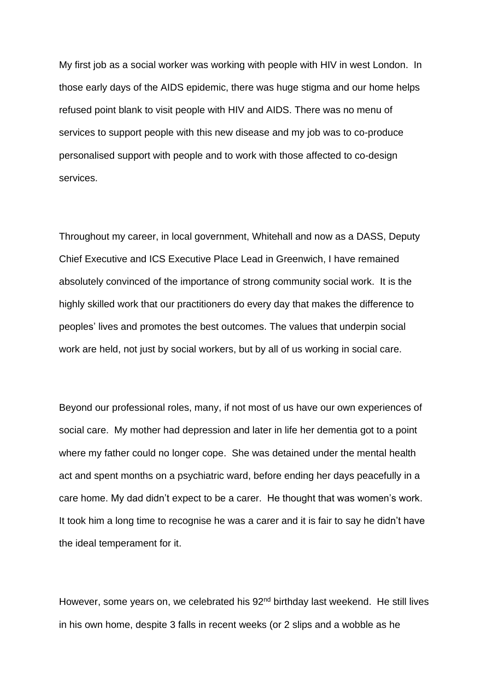My first job as a social worker was working with people with HIV in west London. In those early days of the AIDS epidemic, there was huge stigma and our home helps refused point blank to visit people with HIV and AIDS. There was no menu of services to support people with this new disease and my job was to co-produce personalised support with people and to work with those affected to co-design services.

Throughout my career, in local government, Whitehall and now as a DASS, Deputy Chief Executive and ICS Executive Place Lead in Greenwich, I have remained absolutely convinced of the importance of strong community social work. It is the highly skilled work that our practitioners do every day that makes the difference to peoples' lives and promotes the best outcomes. The values that underpin social work are held, not just by social workers, but by all of us working in social care.

Beyond our professional roles, many, if not most of us have our own experiences of social care. My mother had depression and later in life her dementia got to a point where my father could no longer cope. She was detained under the mental health act and spent months on a psychiatric ward, before ending her days peacefully in a care home. My dad didn't expect to be a carer. He thought that was women's work. It took him a long time to recognise he was a carer and it is fair to say he didn't have the ideal temperament for it.

However, some years on, we celebrated his 92<sup>nd</sup> birthday last weekend. He still lives in his own home, despite 3 falls in recent weeks (or 2 slips and a wobble as he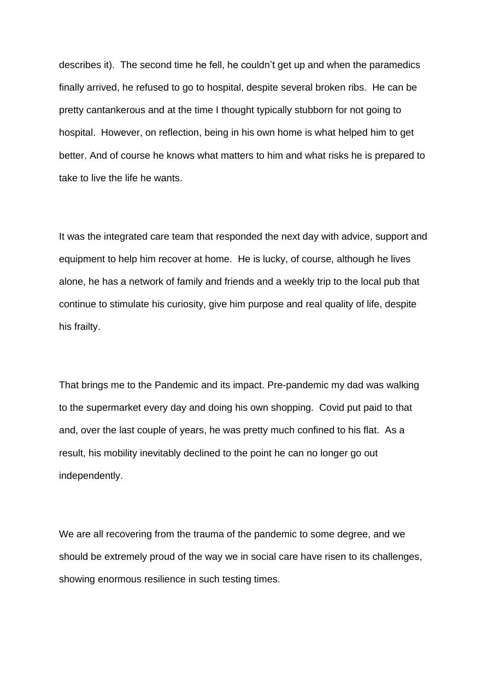describes it). The second time he fell, he couldn't get up and when the paramedics finally arrived, he refused to go to hospital, despite several broken ribs. He can be pretty cantankerous and at the time I thought typically stubborn for not going to hospital. However, on reflection, being in his own home is what helped him to get better. And of course he knows what matters to him and what risks he is prepared to take to live the life he wants.

It was the integrated care team that responded the next day with advice, support and equipment to help him recover at home. He is lucky, of course, although he lives alone, he has a network of family and friends and a weekly trip to the local pub that continue to stimulate his curiosity, give him purpose and real quality of life, despite his frailty.

That brings me to the Pandemic and its impact. Pre-pandemic my dad was walking to the supermarket every day and doing his own shopping. Covid put paid to that and, over the last couple of years, he was pretty much confined to his flat. As a result, his mobility inevitably declined to the point he can no longer go out independently.

We are all recovering from the trauma of the pandemic to some degree, and we should be extremely proud of the way we in social care have risen to its challenges, showing enormous resilience in such testing times.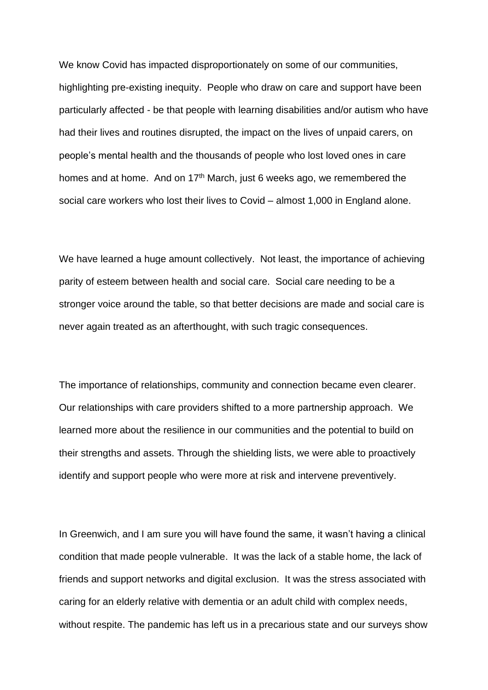We know Covid has impacted disproportionately on some of our communities, highlighting pre-existing inequity. People who draw on care and support have been particularly affected - be that people with learning disabilities and/or autism who have had their lives and routines disrupted, the impact on the lives of unpaid carers, on people's mental health and the thousands of people who lost loved ones in care homes and at home. And on 17<sup>th</sup> March, just 6 weeks ago, we remembered the social care workers who lost their lives to Covid – almost 1,000 in England alone.

We have learned a huge amount collectively. Not least, the importance of achieving parity of esteem between health and social care. Social care needing to be a stronger voice around the table, so that better decisions are made and social care is never again treated as an afterthought, with such tragic consequences.

The importance of relationships, community and connection became even clearer. Our relationships with care providers shifted to a more partnership approach. We learned more about the resilience in our communities and the potential to build on their strengths and assets. Through the shielding lists, we were able to proactively identify and support people who were more at risk and intervene preventively.

In Greenwich, and I am sure you will have found the same, it wasn't having a clinical condition that made people vulnerable. It was the lack of a stable home, the lack of friends and support networks and digital exclusion. It was the stress associated with caring for an elderly relative with dementia or an adult child with complex needs, without respite. The pandemic has left us in a precarious state and our surveys show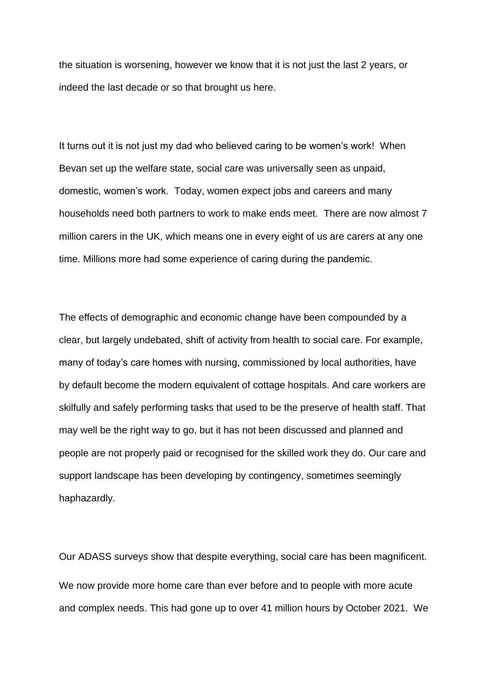the situation is worsening, however we know that it is not just the last 2 years, or indeed the last decade or so that brought us here.

It turns out it is not just my dad who believed caring to be women's work! When Bevan set up the welfare state, social care was universally seen as unpaid, domestic, women's work. Today, women expect jobs and careers and many households need both partners to work to make ends meet. There are now almost 7 million carers in the UK, which means one in every eight of us are carers at any one time. Millions more had some experience of caring during the pandemic.

The effects of demographic and economic change have been compounded by a clear, but largely undebated, shift of activity from health to social care. For example, many of today's care homes with nursing, commissioned by local authorities, have by default become the modern equivalent of cottage hospitals. And care workers are skilfully and safely performing tasks that used to be the preserve of health staff. That may well be the right way to go, but it has not been discussed and planned and people are not properly paid or recognised for the skilled work they do. Our care and support landscape has been developing by contingency, sometimes seemingly haphazardly.

Our ADASS surveys show that despite everything, social care has been magnificent. We now provide more home care than ever before and to people with more acute and complex needs. This had gone up to over 41 million hours by October 2021. We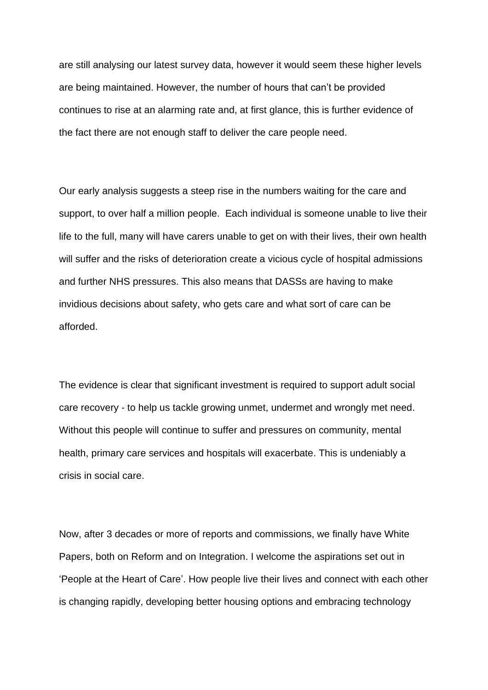are still analysing our latest survey data, however it would seem these higher levels are being maintained. However, the number of hours that can't be provided continues to rise at an alarming rate and, at first glance, this is further evidence of the fact there are not enough staff to deliver the care people need.

Our early analysis suggests a steep rise in the numbers waiting for the care and support, to over half a million people. Each individual is someone unable to live their life to the full, many will have carers unable to get on with their lives, their own health will suffer and the risks of deterioration create a vicious cycle of hospital admissions and further NHS pressures. This also means that DASSs are having to make invidious decisions about safety, who gets care and what sort of care can be afforded.

The evidence is clear that significant investment is required to support adult social care recovery - to help us tackle growing unmet, undermet and wrongly met need. Without this people will continue to suffer and pressures on community, mental health, primary care services and hospitals will exacerbate. This is undeniably a crisis in social care.

Now, after 3 decades or more of reports and commissions, we finally have White Papers, both on Reform and on Integration. I welcome the aspirations set out in 'People at the Heart of Care'. How people live their lives and connect with each other is changing rapidly, developing better housing options and embracing technology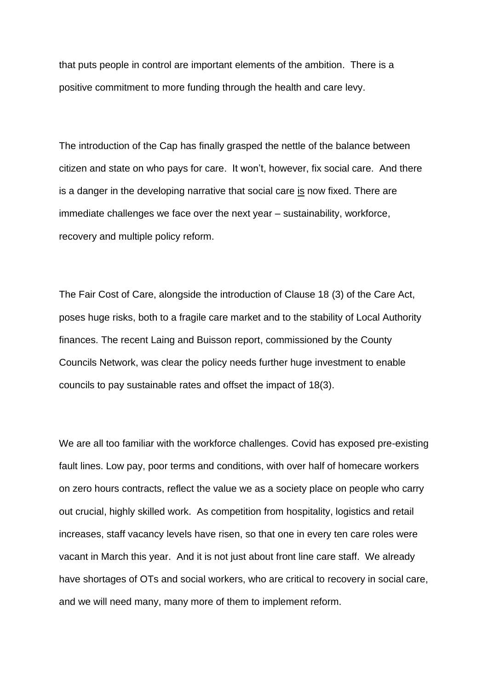that puts people in control are important elements of the ambition. There is a positive commitment to more funding through the health and care levy.

The introduction of the Cap has finally grasped the nettle of the balance between citizen and state on who pays for care. It won't, however, fix social care. And there is a danger in the developing narrative that social care is now fixed. There are immediate challenges we face over the next year – sustainability, workforce, recovery and multiple policy reform.

The Fair Cost of Care, alongside the introduction of Clause 18 (3) of the Care Act, poses huge risks, both to a fragile care market and to the stability of Local Authority finances. The recent Laing and Buisson report, commissioned by the County Councils Network, was clear the policy needs further huge investment to enable councils to pay sustainable rates and offset the impact of 18(3).

We are all too familiar with the workforce challenges. Covid has exposed pre-existing fault lines. Low pay, poor terms and conditions, with over half of homecare workers on zero hours contracts, reflect the value we as a society place on people who carry out crucial, highly skilled work. As competition from hospitality, logistics and retail increases, staff vacancy levels have risen, so that one in every ten care roles were vacant in March this year. And it is not just about front line care staff. We already have shortages of OTs and social workers, who are critical to recovery in social care, and we will need many, many more of them to implement reform.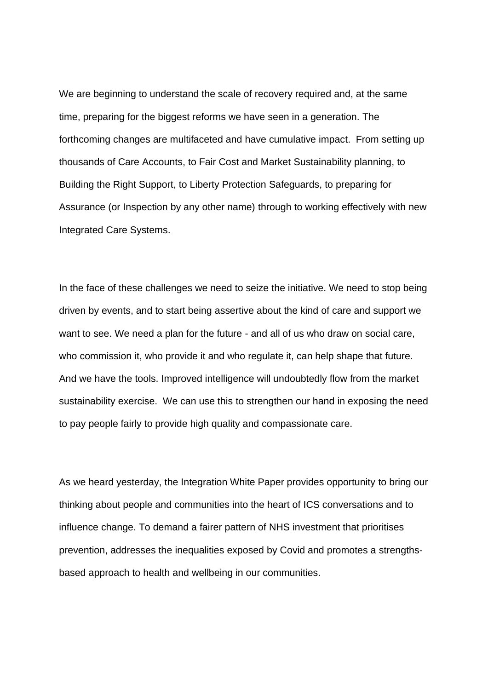We are beginning to understand the scale of recovery required and, at the same time, preparing for the biggest reforms we have seen in a generation. The forthcoming changes are multifaceted and have cumulative impact. From setting up thousands of Care Accounts, to Fair Cost and Market Sustainability planning, to Building the Right Support, to Liberty Protection Safeguards, to preparing for Assurance (or Inspection by any other name) through to working effectively with new Integrated Care Systems.

In the face of these challenges we need to seize the initiative. We need to stop being driven by events, and to start being assertive about the kind of care and support we want to see. We need a plan for the future - and all of us who draw on social care, who commission it, who provide it and who regulate it, can help shape that future. And we have the tools. Improved intelligence will undoubtedly flow from the market sustainability exercise. We can use this to strengthen our hand in exposing the need to pay people fairly to provide high quality and compassionate care.

As we heard yesterday, the Integration White Paper provides opportunity to bring our thinking about people and communities into the heart of ICS conversations and to influence change. To demand a fairer pattern of NHS investment that prioritises prevention, addresses the inequalities exposed by Covid and promotes a strengthsbased approach to health and wellbeing in our communities.